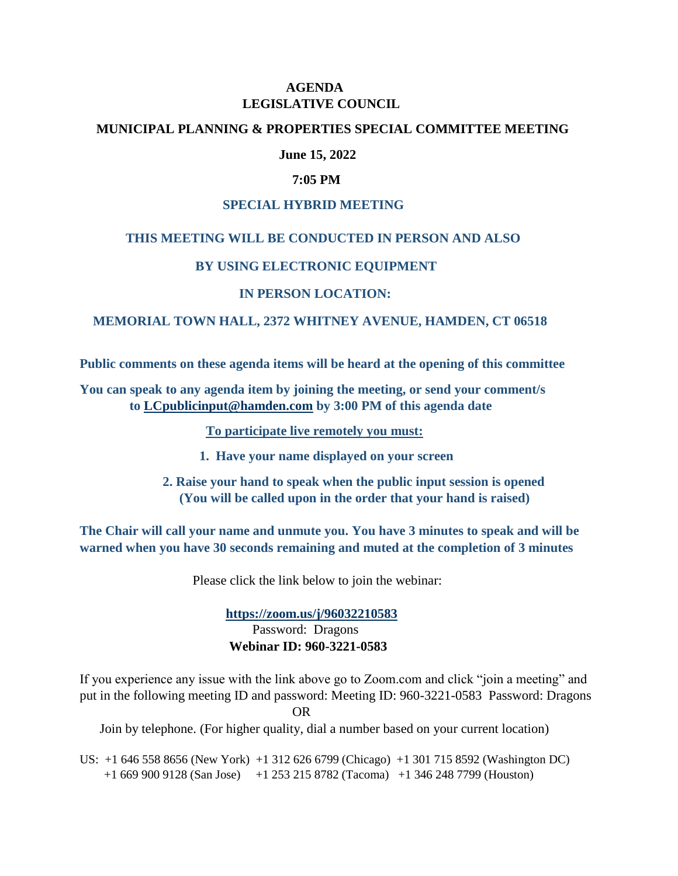# **AGENDA LEGISLATIVE COUNCIL**

### **MUNICIPAL PLANNING & PROPERTIES SPECIAL COMMITTEE MEETING**

## **June 15, 2022**

#### **7:05 PM**

#### **SPECIAL HYBRID MEETING**

### **THIS MEETING WILL BE CONDUCTED IN PERSON AND ALSO**

### **BY USING ELECTRONIC EQUIPMENT**

### **IN PERSON LOCATION:**

### **MEMORIAL TOWN HALL, 2372 WHITNEY AVENUE, HAMDEN, CT 06518**

**Public comments on these agenda items will be heard at the opening of this committee**

**You can speak to any agenda item by joining the meeting, or send your comment/s to [LCpublicinput@hamden.com](mailto:LCpublicinput@hamden.com) by 3:00 PM of this agenda date**

 **To participate live remotely you must:**

- **1. Have your name displayed on your screen**
- **2. Raise your hand to speak when the public input session is opened (You will be called upon in the order that your hand is raised)**

**The Chair will call your name and unmute you. You have 3 minutes to speak and will be warned when you have 30 seconds remaining and muted at the completion of 3 minutes**

Please click the link below to join the webinar:

 **<https://zoom.us/j/96032210583>** Password: Dragons **Webinar ID: 960-3221-0583**

If you experience any issue with the link above go to Zoom.com and click "join a meeting" and put in the following meeting ID and password: Meeting ID: 960-3221-0583 Password: Dragons

OR

Join by telephone. (For higher quality, dial a number based on your current location)

US: +1 646 558 8656 (New York) +1 312 626 6799 (Chicago) +1 301 715 8592 (Washington DC) +1 669 900 9128 (San Jose) +1 253 215 8782 (Tacoma) +1 346 248 7799 (Houston)